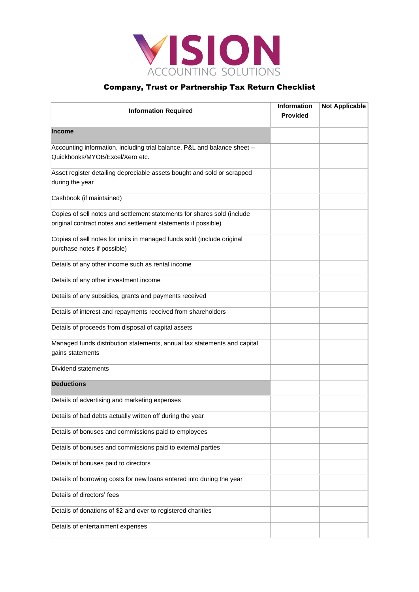

| <b>Information Required</b>                                                                                                               | <b>Information</b><br><b>Provided</b> | <b>Not Applicable</b> |
|-------------------------------------------------------------------------------------------------------------------------------------------|---------------------------------------|-----------------------|
| <b>Income</b>                                                                                                                             |                                       |                       |
| Accounting information, including trial balance, P&L and balance sheet -<br>Quickbooks/MYOB/Excel/Xero etc.                               |                                       |                       |
| Asset register detailing depreciable assets bought and sold or scrapped<br>during the year                                                |                                       |                       |
| Cashbook (if maintained)                                                                                                                  |                                       |                       |
| Copies of sell notes and settlement statements for shares sold (include<br>original contract notes and settlement statements if possible) |                                       |                       |
| Copies of sell notes for units in managed funds sold (include original<br>purchase notes if possible)                                     |                                       |                       |
| Details of any other income such as rental income                                                                                         |                                       |                       |
| Details of any other investment income                                                                                                    |                                       |                       |
| Details of any subsidies, grants and payments received                                                                                    |                                       |                       |
| Details of interest and repayments received from shareholders                                                                             |                                       |                       |
| Details of proceeds from disposal of capital assets                                                                                       |                                       |                       |
| Managed funds distribution statements, annual tax statements and capital<br>gains statements                                              |                                       |                       |
| Dividend statements                                                                                                                       |                                       |                       |
| <b>Deductions</b>                                                                                                                         |                                       |                       |
| Details of advertising and marketing expenses                                                                                             |                                       |                       |
| Details of bad debts actually written off during the year                                                                                 |                                       |                       |
| Details of bonuses and commissions paid to employees                                                                                      |                                       |                       |
| Details of bonuses and commissions paid to external parties                                                                               |                                       |                       |
| Details of bonuses paid to directors                                                                                                      |                                       |                       |
| Details of borrowing costs for new loans entered into during the year                                                                     |                                       |                       |
| Details of directors' fees                                                                                                                |                                       |                       |
| Details of donations of \$2 and over to registered charities                                                                              |                                       |                       |
| Details of entertainment expenses                                                                                                         |                                       |                       |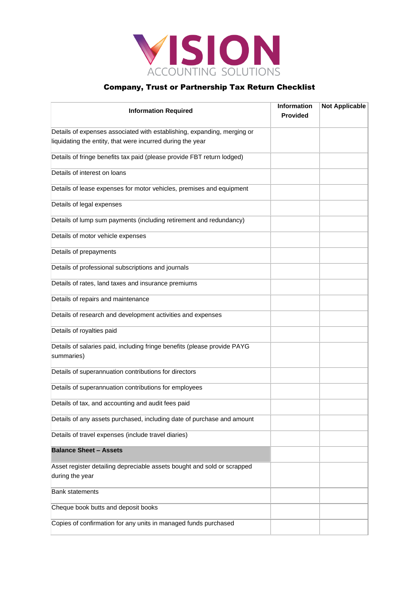

| <b>Information Required</b>                                                                | <b>Information</b><br><b>Provided</b> | <b>Not Applicable</b> |
|--------------------------------------------------------------------------------------------|---------------------------------------|-----------------------|
| Details of expenses associated with establishing, expanding, merging or                    |                                       |                       |
| liquidating the entity, that were incurred during the year                                 |                                       |                       |
| Details of fringe benefits tax paid (please provide FBT return lodged)                     |                                       |                       |
| Details of interest on loans                                                               |                                       |                       |
| Details of lease expenses for motor vehicles, premises and equipment                       |                                       |                       |
| Details of legal expenses                                                                  |                                       |                       |
| Details of lump sum payments (including retirement and redundancy)                         |                                       |                       |
| Details of motor vehicle expenses                                                          |                                       |                       |
| Details of prepayments                                                                     |                                       |                       |
| Details of professional subscriptions and journals                                         |                                       |                       |
| Details of rates, land taxes and insurance premiums                                        |                                       |                       |
| Details of repairs and maintenance                                                         |                                       |                       |
| Details of research and development activities and expenses                                |                                       |                       |
| Details of royalties paid                                                                  |                                       |                       |
| Details of salaries paid, including fringe benefits (please provide PAYG<br>summaries)     |                                       |                       |
| Details of superannuation contributions for directors                                      |                                       |                       |
| Details of superannuation contributions for employees                                      |                                       |                       |
| Details of tax, and accounting and audit fees paid                                         |                                       |                       |
| Details of any assets purchased, including date of purchase and amount                     |                                       |                       |
| Details of travel expenses (include travel diaries)                                        |                                       |                       |
| <b>Balance Sheet - Assets</b>                                                              |                                       |                       |
| Asset register detailing depreciable assets bought and sold or scrapped<br>during the year |                                       |                       |
| <b>Bank statements</b>                                                                     |                                       |                       |
| Cheque book butts and deposit books                                                        |                                       |                       |
| Copies of confirmation for any units in managed funds purchased                            |                                       |                       |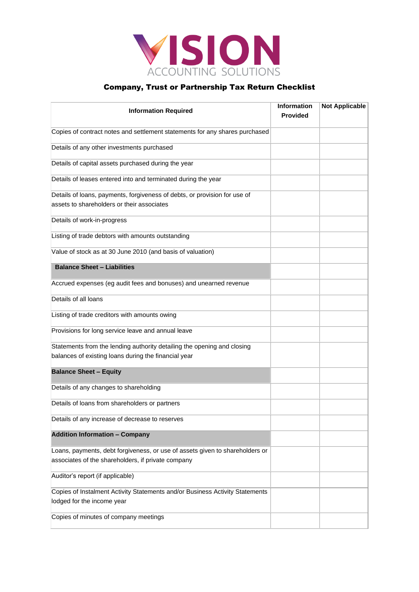

| <b>Information Required</b>                                                                                             | <b>Information</b><br><b>Provided</b> | <b>Not Applicable</b> |
|-------------------------------------------------------------------------------------------------------------------------|---------------------------------------|-----------------------|
| Copies of contract notes and settlement statements for any shares purchased                                             |                                       |                       |
| Details of any other investments purchased                                                                              |                                       |                       |
| Details of capital assets purchased during the year                                                                     |                                       |                       |
| Details of leases entered into and terminated during the year                                                           |                                       |                       |
| Details of loans, payments, forgiveness of debts, or provision for use of<br>assets to shareholders or their associates |                                       |                       |
| Details of work-in-progress                                                                                             |                                       |                       |
| Listing of trade debtors with amounts outstanding                                                                       |                                       |                       |
| Value of stock as at 30 June 2010 (and basis of valuation)                                                              |                                       |                       |
| <b>Balance Sheet - Liabilities</b>                                                                                      |                                       |                       |
| Accrued expenses (eg audit fees and bonuses) and unearned revenue                                                       |                                       |                       |
| Details of all loans                                                                                                    |                                       |                       |
| Listing of trade creditors with amounts owing                                                                           |                                       |                       |
| Provisions for long service leave and annual leave                                                                      |                                       |                       |
| Statements from the lending authority detailing the opening and closing                                                 |                                       |                       |
| balances of existing loans during the financial year                                                                    |                                       |                       |
| <b>Balance Sheet - Equity</b>                                                                                           |                                       |                       |
| Details of any changes to shareholding                                                                                  |                                       |                       |
| Details of loans from shareholders or partners                                                                          |                                       |                       |
| Details of any increase of decrease to reserves                                                                         |                                       |                       |
| <b>Addition Information - Company</b>                                                                                   |                                       |                       |
| Loans, payments, debt forgiveness, or use of assets given to shareholders or                                            |                                       |                       |
| associates of the shareholders, if private company                                                                      |                                       |                       |
| Auditor's report (if applicable)                                                                                        |                                       |                       |
| Copies of Instalment Activity Statements and/or Business Activity Statements                                            |                                       |                       |
| lodged for the income year                                                                                              |                                       |                       |
| Copies of minutes of company meetings                                                                                   |                                       |                       |